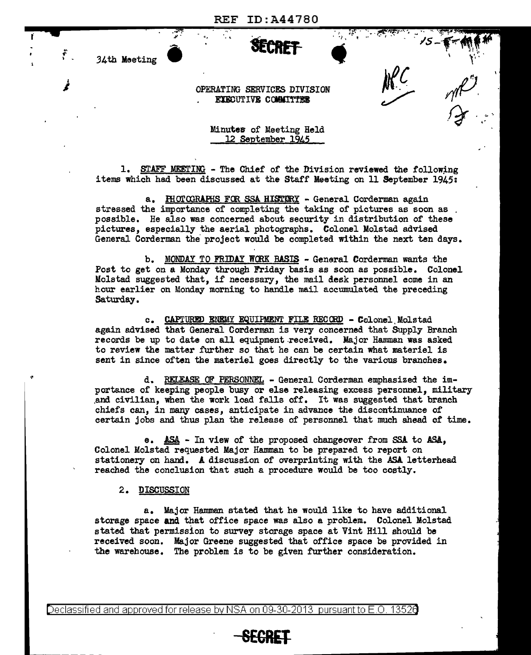REF ID:A44780

.. ' ,~ *;J!,"* • -., '" • {l'!t!I""~;••"• "'.c -• "I• ''. ,~... • <sup>I</sup>

 $15 - 6 - 11$ 

*)f\_C* 

~ *r(ff).* 

Jt ...  $\mathbf{V} = \mathbf{V}$ 

 $\rightarrow$ 

 $\cdot$   $\cdot$ 

34th Meeting • •

OPERATING SERVICES DIVISION EXECUTIVE COMMITTEE

> Minutes of Meeting Held 12 September 1945

1. STAFF MEETING - The Chief of the Division reviewed the following items which had been discussed at the Staff Meeting on 11 September 1945:

a. HIOTOGRAPHS FOR SSA HISTORY - General Corderman again stressed the importance of completing the taking of pictures as soon as possible. He also was concerned about security in distribution of these pictures, especially the aerial photographs. Colonel Molstad advised General Corderman the project would be completed within the next ten days.

b. MONDAY TO FRIDAY WCRK BASIS - General Corderman wants the Post to get on a Monday through Friday basis as soon as possible. Colonel Molstad suggested that, if necessary, the mail desk personnel come in an hour earlier on Monday morning to handle mail accumulated the preceding Saturday.

c. CAPTURED ENEMY EQUIPMENT FILE RECORD - Colonel Molstad again advised that General Corderman is very concerned that Supply Branch records be up to date on all equipment.received. Major Hamman was asked to review the matter further so that he can be certain what materiel is sent in since often the materiel goes directly to the various branches.

d. REI.EASE OF PERSONNEL - General Corderman emphasized the importance of keeping people busy or else releasing excess personnel, military .and civilian, when the work load falls off. It was suggested that branch chiefs can, in many cases, anticipate in advance the discontinuance of certain jobs and thus plan the release of personnel that much ahead of time.

e. ASA. - In view of the proposed changeover from SSA to ASA, Colonel Molstad requested Major Hamman to be prepared to report on stationery on hand. A discussion of overprinting with the ASA. letterhead reached the conclusion that such a procedure would be too costly.

2. DISCUSSION

a. Major Hamman stated that he would like to have additional storage space and that office space was also a problem. Colonel Molstad stated that permission to survey storage space at Vint Hill should be received soon. Major Greene suggested that office space be provided in the warehouse. The problem is to be given further consideration.

**SECRET-**

Declassified and approved for release by NSA on 09-30-2013 pursuant to E.O. 13520